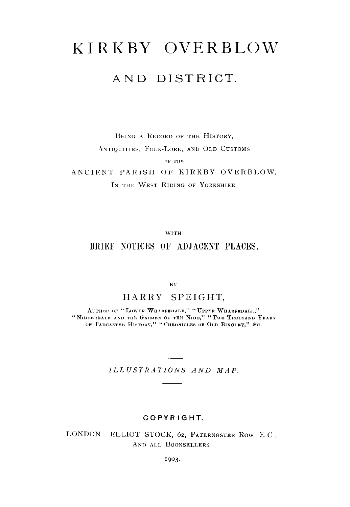# KIRKBY OVERBLOW

## AND DISTRICT.

BEING A RECORD OF THE HISTORY, ANTIQUITIES, FOLK-LORE, AND OLD CUSTOMS OF THE

ANCIENT PARISH OF KIRKBY OVERBLOW, IN THE WEST RIDING OF YORKSHIRE

WITH

### BRIEF NOTICES OF ADJACENT PLACES.

BY

#### HARRY SPEIGHT,

AUTHOR OF "LOWER WHARFEDALE," "UPPER WHARFEDALE," "NIDDERDALE AND THE GARDEN OF THE NIDD," "TWO THOUSAND YEARS OF TADCASTER HISTORY," "CHRONICLES OF OLD BINGLEY," &C.

*ILLUSTRATIONS AND MAP.*

#### COPYRIGHT.

LONDON ELLIOT STOCK, 62, PATERNOSTER ROW, E C, AND ALL BOOKSELLERS

1903.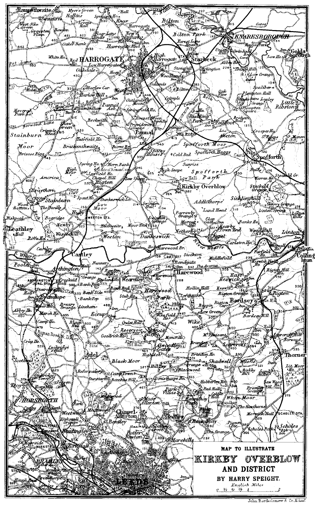

John Bartholomew & Co.,E